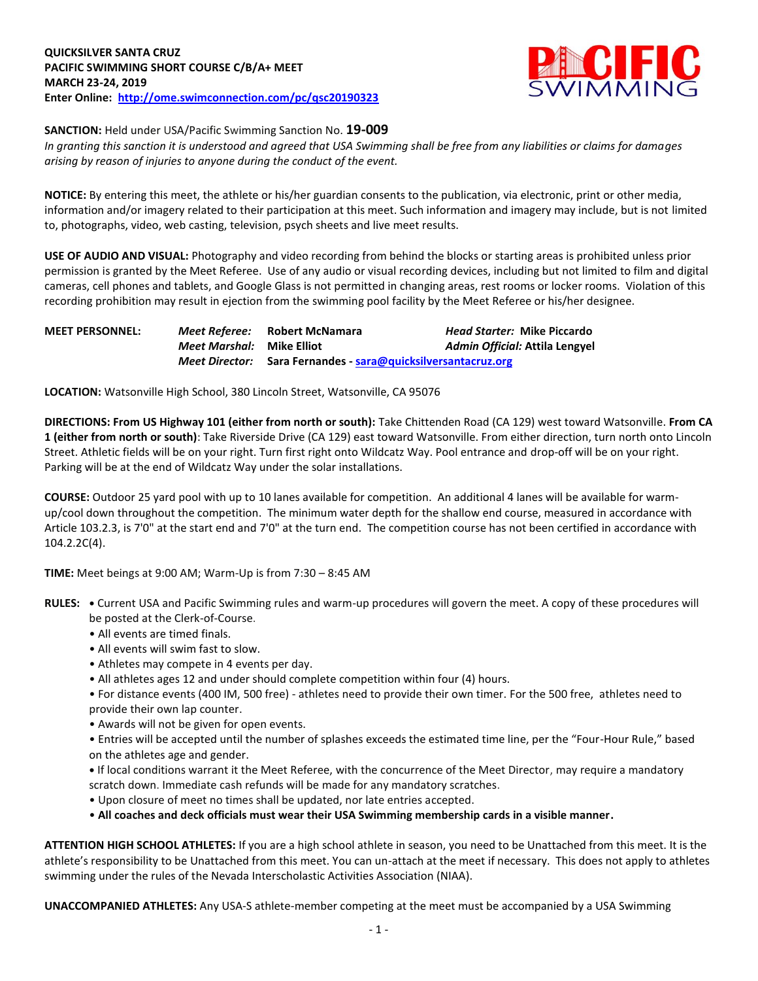

**SANCTION:** Held under USA/Pacific Swimming Sanction No. **19-009**

*In granting this sanction it is understood and agreed that USA Swimming shall be free from any liabilities or claims for damages arising by reason of injuries to anyone during the conduct of the event.* 

**NOTICE:** By entering this meet, the athlete or his/her guardian consents to the publication, via electronic, print or other media, information and/or imagery related to their participation at this meet. Such information and imagery may include, but is not limited to, photographs, video, web casting, television, psych sheets and live meet results.

**USE OF AUDIO AND VISUAL:** Photography and video recording from behind the blocks or starting areas is prohibited unless prior permission is granted by the Meet Referee. Use of any audio or visual recording devices, including but not limited to film and digital cameras, cell phones and tablets, and Google Glass is not permitted in changing areas, rest rooms or locker rooms. Violation of this recording prohibition may result in ejection from the swimming pool facility by the Meet Referee or his/her designee.

| <b>MEET PERSONNEL:</b> |                           | <i>Meet Referee:</i> Robert McNamara                          | <i>Head Starter: Mike Piccardo</i> |  |  |  |
|------------------------|---------------------------|---------------------------------------------------------------|------------------------------------|--|--|--|
|                        | Meet Marshal: Mike Elliot |                                                               | Admin Official: Attila Lengyel     |  |  |  |
|                        |                           | Meet Director: Sara Fernandes - sara@quicksilversantacruz.org |                                    |  |  |  |

**LOCATION:** Watsonville High School, 380 Lincoln Street, Watsonville, CA 95076

**DIRECTIONS: From US Highway 101 (either from north or south):** Take Chittenden Road (CA 129) west toward Watsonville. **From CA 1 (either from north or south)**: Take Riverside Drive (CA 129) east toward Watsonville. From either direction, turn north onto Lincoln Street. Athletic fields will be on your right. Turn first right onto Wildcatz Way. Pool entrance and drop-off will be on your right. Parking will be at the end of Wildcatz Way under the solar installations.

**COURSE:** Outdoor 25 yard pool with up to 10 lanes available for competition.An additional 4 lanes will be available for warmup/cool down throughout the competition. The minimum water depth for the shallow end course, measured in accordance with Article 103.2.3, is 7'0" at the start end and 7'0" at the turn end. The competition course has not been certified in accordance with 104.2.2C(4).

**TIME:** Meet beings at 9:00 AM; Warm-Up is from 7:30 – 8:45 AM

- **RULES: •** Current USA and Pacific Swimming rules and warm-up procedures will govern the meet. A copy of these procedures will be posted at the Clerk-of-Course.
	- All events are timed finals.
	- All events will swim fast to slow.
	- Athletes may compete in 4 events per day.
	- All athletes ages 12 and under should complete competition within four (4) hours.
	- For distance events (400 IM, 500 free) athletes need to provide their own timer. For the 500 free, athletes need to provide their own lap counter.
	- Awards will not be given for open events.
	- Entries will be accepted until the number of splashes exceeds the estimated time line, per the "Four-Hour Rule," based on the athletes age and gender.
	- **•** If local conditions warrant it the Meet Referee, with the concurrence of the Meet Director, may require a mandatory scratch down. Immediate cash refunds will be made for any mandatory scratches.
	- Upon closure of meet no times shall be updated, nor late entries accepted.
	- **All coaches and deck officials must wear their USA Swimming membership cards in a visible manner.**

**ATTENTION HIGH SCHOOL ATHLETES:** If you are a high school athlete in season, you need to be Unattached from this meet. It is the athlete's responsibility to be Unattached from this meet. You can un-attach at the meet if necessary. This does not apply to athletes swimming under the rules of the Nevada Interscholastic Activities Association (NIAA).

**UNACCOMPANIED ATHLETES:** Any USA-S athlete-member competing at the meet must be accompanied by a USA Swimming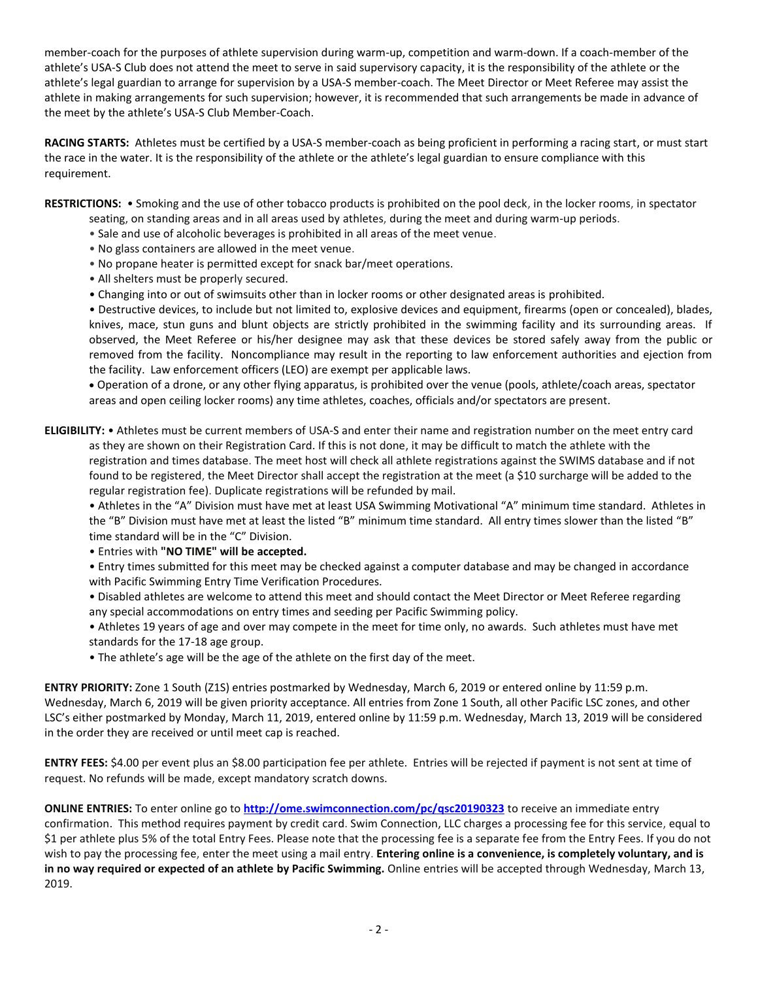member-coach for the purposes of athlete supervision during warm-up, competition and warm-down. If a coach-member of the athlete's USA-S Club does not attend the meet to serve in said supervisory capacity, it is the responsibility of the athlete or the athlete's legal guardian to arrange for supervision by a USA-S member-coach. The Meet Director or Meet Referee may assist the athlete in making arrangements for such supervision; however, it is recommended that such arrangements be made in advance of the meet by the athlete's USA-S Club Member-Coach.

**RACING STARTS:** Athletes must be certified by a USA-S member-coach as being proficient in performing a racing start, or must start the race in the water. It is the responsibility of the athlete or the athlete's legal guardian to ensure compliance with this requirement.

**RESTRICTIONS:** • Smoking and the use of other tobacco products is prohibited on the pool deck, in the locker rooms, in spectator

- seating, on standing areas and in all areas used by athletes, during the meet and during warm-up periods.
- Sale and use of alcoholic beverages is prohibited in all areas of the meet venue.
- No glass containers are allowed in the meet venue.
- No propane heater is permitted except for snack bar/meet operations.
- All shelters must be properly secured.
- Changing into or out of swimsuits other than in locker rooms or other designated areas is prohibited.

• Destructive devices, to include but not limited to, explosive devices and equipment, firearms (open or concealed), blades, knives, mace, stun guns and blunt objects are strictly prohibited in the swimming facility and its surrounding areas. If observed, the Meet Referee or his/her designee may ask that these devices be stored safely away from the public or removed from the facility. Noncompliance may result in the reporting to law enforcement authorities and ejection from the facility. Law enforcement officers (LEO) are exempt per applicable laws.

 Operation of a drone, or any other flying apparatus, is prohibited over the venue (pools, athlete/coach areas, spectator areas and open ceiling locker rooms) any time athletes, coaches, officials and/or spectators are present.

**ELIGIBILITY:** • Athletes must be current members of USA-S and enter their name and registration number on the meet entry card as they are shown on their Registration Card. If this is not done, it may be difficult to match the athlete with the registration and times database. The meet host will check all athlete registrations against the SWIMS database and if not found to be registered, the Meet Director shall accept the registration at the meet (a \$10 surcharge will be added to the regular registration fee). Duplicate registrations will be refunded by mail.

• Athletes in the "A" Division must have met at least USA Swimming Motivational "A" minimum time standard. Athletes in the "B" Division must have met at least the listed "B" minimum time standard. All entry times slower than the listed "B" time standard will be in the "C" Division.

• Entries with **"NO TIME" will be accepted.**

• Entry times submitted for this meet may be checked against a computer database and may be changed in accordance with Pacific Swimming Entry Time Verification Procedures.

• Disabled athletes are welcome to attend this meet and should contact the Meet Director or Meet Referee regarding any special accommodations on entry times and seeding per Pacific Swimming policy.

• Athletes 19 years of age and over may compete in the meet for time only, no awards. Such athletes must have met standards for the 17-18 age group.

• The athlete's age will be the age of the athlete on the first day of the meet.

**ENTRY PRIORITY:** Zone 1 South (Z1S) entries postmarked by Wednesday, March 6, 2019 or entered online by 11:59 p.m. Wednesday, March 6, 2019 will be given priority acceptance. All entries from Zone 1 South, all other Pacific LSC zones, and other LSC's either postmarked by Monday, March 11, 2019, entered online by 11:59 p.m. Wednesday, March 13, 2019 will be considered in the order they are received or until meet cap is reached.

**ENTRY FEES:** \$4.00 per event plus an \$8.00 participation fee per athlete. Entries will be rejected if payment is not sent at time of request. No refunds will be made, except mandatory scratch downs.

**ONLINE ENTRIES:** To enter online go to **<http://ome.swimconnection.com/pc/qsc20190323>** to receive an immediate entry confirmation. This method requires payment by credit card. Swim Connection, LLC charges a processing fee for this service, equal to \$1 per athlete plus 5% of the total Entry Fees. Please note that the processing fee is a separate fee from the Entry Fees. If you do not wish to pay the processing fee, enter the meet using a mail entry. **Entering online is a convenience, is completely voluntary, and is in no way required or expected of an athlete by Pacific Swimming.** Online entries will be accepted through Wednesday, March 13, 2019.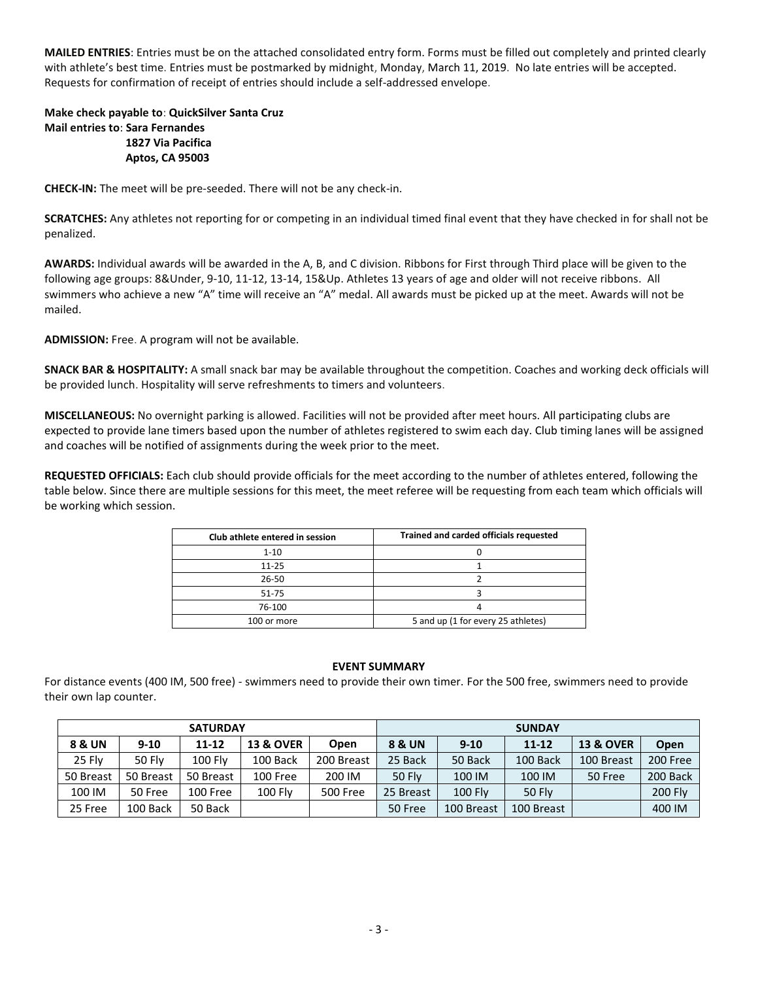**MAILED ENTRIES**: Entries must be on the attached consolidated entry form. Forms must be filled out completely and printed clearly with athlete's best time. Entries must be postmarked by midnight, Monday, March 11, 2019. No late entries will be accepted. Requests for confirmation of receipt of entries should include a self-addressed envelope.

## **Make check payable to**: **QuickSilver Santa Cruz Mail entries to**: **Sara Fernandes 1827 Via Pacifica Aptos, CA 95003**

**CHECK-IN:** The meet will be pre-seeded. There will not be any check-in.

**SCRATCHES:** Any athletes not reporting for or competing in an individual timed final event that they have checked in for shall not be penalized.

**AWARDS:** Individual awards will be awarded in the A, B, and C division. Ribbons for First through Third place will be given to the following age groups: 8&Under, 9-10, 11-12, 13-14, 15&Up. Athletes 13 years of age and older will not receive ribbons. All swimmers who achieve a new "A" time will receive an "A" medal. All awards must be picked up at the meet. Awards will not be mailed.

**ADMISSION:** Free. A program will not be available.

**SNACK BAR & HOSPITALITY:** A small snack bar may be available throughout the competition. Coaches and working deck officials will be provided lunch. Hospitality will serve refreshments to timers and volunteers.

**MISCELLANEOUS:** No overnight parking is allowed. Facilities will not be provided after meet hours. All participating clubs are expected to provide lane timers based upon the number of athletes registered to swim each day. Club timing lanes will be assigned and coaches will be notified of assignments during the week prior to the meet.

**REQUESTED OFFICIALS:** Each club should provide officials for the meet according to the number of athletes entered, following the table below. Since there are multiple sessions for this meet, the meet referee will be requesting from each team which officials will be working which session.

| Club athlete entered in session | Trained and carded officials requested |  |  |  |  |
|---------------------------------|----------------------------------------|--|--|--|--|
| $1 - 10$                        |                                        |  |  |  |  |
| $11 - 25$                       |                                        |  |  |  |  |
| 26-50                           |                                        |  |  |  |  |
| 51-75                           |                                        |  |  |  |  |
| 76-100                          |                                        |  |  |  |  |
| 100 or more                     | 5 and up (1 for every 25 athletes)     |  |  |  |  |

## **EVENT SUMMARY**

For distance events (400 IM, 500 free) - swimmers need to provide their own timer. For the 500 free, swimmers need to provide their own lap counter.

| <b>SATURDAY</b> |               |                |                      |             | <b>SUNDAY</b>                 |                |               |                      |          |  |
|-----------------|---------------|----------------|----------------------|-------------|-------------------------------|----------------|---------------|----------------------|----------|--|
| 8 & UN          | $9 - 10$      | $11 - 12$      | <b>13 &amp; OVER</b> | <b>Open</b> | <b>8 &amp; UN</b><br>$9 - 10$ |                | $11 - 12$     | <b>13 &amp; OVER</b> | Open     |  |
| 25 Fly          | <b>50 Flv</b> | <b>100 Flv</b> | 100 Back             | 200 Breast  | 25 Back                       | 50 Back        | 100 Back      | 100 Breast           | 200 Free |  |
| 50 Breast       | 50 Breast     | 50 Breast      | 100 Free             | 200 IM      | <b>50 Flv</b>                 | 100 IM         | 100 IM        | 50 Free              | 200 Back |  |
| 100 IM          | 50 Free       | 100 Free       | <b>100 Flv</b>       | 500 Free    | 25 Breast                     | <b>100 Flv</b> | <b>50 Flv</b> |                      | 200 Fly  |  |
| 25 Free         | 100 Back      | 50 Back        |                      |             | 50 Free                       | 100 Breast     | 100 Breast    |                      | 400 IM   |  |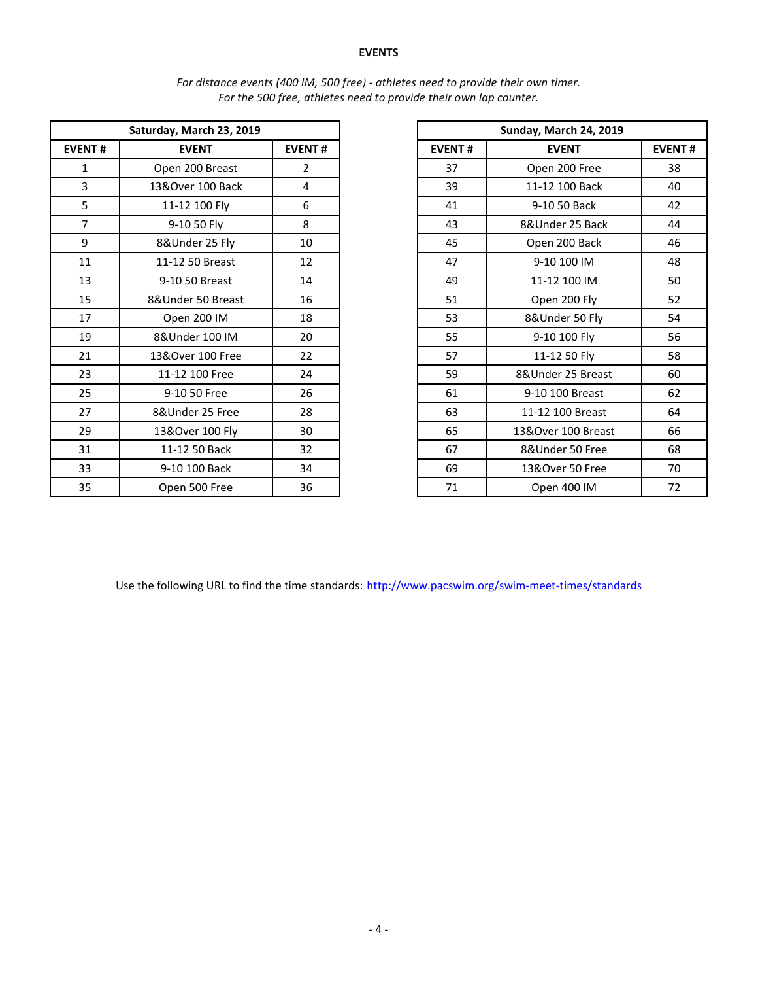## **EVENTS**

| Saturday, March 23, 2019 |                   |                |  |  |
|--------------------------|-------------------|----------------|--|--|
|                          |                   |                |  |  |
| <b>EVENT#</b>            | <b>EVENT</b>      | <b>EVENT#</b>  |  |  |
| $\mathbf{1}$             | Open 200 Breast   | $\overline{2}$ |  |  |
| $\overline{3}$           | 13&Over 100 Back  | 4              |  |  |
| 5                        | 11-12 100 Fly     | 6              |  |  |
| $\overline{7}$           | 9-10 50 Fly       | 8              |  |  |
| 9                        | 8&Under 25 Fly    | 10             |  |  |
| 11                       | 11-12 50 Breast   | 12             |  |  |
| 13                       | 9-10 50 Breast    | 14             |  |  |
| 15                       | 8&Under 50 Breast | 16             |  |  |
| 17                       | Open 200 IM       | 18             |  |  |
| 19                       | 8&Under 100 IM    | 20             |  |  |
| 21                       | 13&Over 100 Free  | 22             |  |  |
| 23                       | 11-12 100 Free    | 24             |  |  |
| 25                       | 9-10 50 Free      | 26             |  |  |
| 27                       | 8&Under 25 Free   | 28             |  |  |
| 29                       | 13&Over 100 Fly   | 30             |  |  |
| 31                       | 11-12 50 Back     | 32             |  |  |
| 33                       | 9-10 100 Back     | 34             |  |  |
| 35                       | Open 500 Free     | 36             |  |  |

| For distance events (400 IM, 500 free) - athletes need to provide their own timer. |  |
|------------------------------------------------------------------------------------|--|
| For the 500 free, athletes need to provide their own lap counter.                  |  |

| Saturday, March 23, 2019 |                   |                |
|--------------------------|-------------------|----------------|
| <b>EVENT#</b>            | <b>EVENT</b>      | <b>EVENT#</b>  |
| $\mathbf{1}$             | Open 200 Breast   | $\overline{2}$ |
| 3                        | 13&Over 100 Back  | 4              |
| 5                        | 11-12 100 Fly     | 6              |
| $\overline{7}$           | 9-10 50 Fly       | 8              |
| 9                        | 8&Under 25 Fly    | 10             |
| 11                       | 11-12 50 Breast   | 12             |
| 13                       | 9-10 50 Breast    | 14             |
| 15                       | 8&Under 50 Breast | 16             |
| 17                       | Open 200 IM       | 18             |
| 19                       | 8&Under 100 IM    | 20             |
| 21                       | 13&Over 100 Free  | 22             |
| 23                       | 11-12 100 Free    | 24             |
| 25                       | 9-10 50 Free      | 26             |
| 27                       | 8&Under 25 Free   | 28             |
| 29                       | 13&Over 100 Fly   | 30             |
| 31                       | 11-12 50 Back     | 32             |
| 33                       | 9-10 100 Back     | 34             |
| 35                       | Open 500 Free     | 36             |

Use the following URL to find the time standards: <http://www.pacswim.org/swim-meet-times/standards>